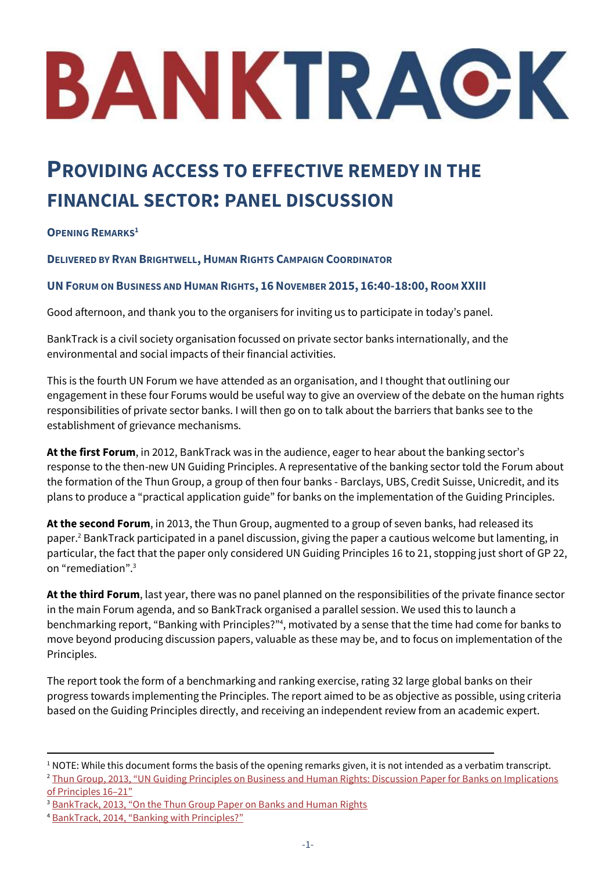# BANKTRACK

# **PROVIDING ACCESS TO EFFECTIVE REMEDY IN THE FINANCIAL SECTOR: PANEL DISCUSSION**

# **OPENING REMARKS<sup>1</sup>**

#### **DELIVERED BY RYAN BRIGHTWELL, HUMAN RIGHTS CAMPAIGN COORDINATOR**

#### **UNFORUM ON BUSINESS AND HUMAN RIGHTS, 16NOVEMBER 2015, 16:40-18:00, ROOM XXIII**

Good afternoon, and thank you to the organisers for inviting us to participate in today's panel.

BankTrack is a civil society organisation focussed on private sector banks internationally, and the environmental and social impacts of their financial activities.

This is the fourth UN Forum we have attended as an organisation, and I thought that outlining our engagement in these four Forums would be useful way to give an overview of the debate on the human rights responsibilities of private sector banks. I will then go on to talk about the barriers that banks see to the establishment of grievance mechanisms.

**At the first Forum**, in 2012, BankTrack was in the audience, eager to hear about the banking sector's response to the then-new UN Guiding Principles. A representative of the banking sector told the Forum about the formation of the Thun Group, a group of then four banks - Barclays, UBS, Credit Suisse, Unicredit, and its plans to produce a "practical application guide" for banks on the implementation of the Guiding Principles.

**At the second Forum**, in 2013, the Thun Group, augmented to a group of seven banks, had released its paper.<sup>2</sup> BankTrack participated in a panel discussion, giving the paper a cautious welcome but lamenting, in particular, the fact that the paper only considered UN Guiding Principles 16 to 21, stopping just short of GP 22, on "remediation".<sup>3</sup>

**At the third Forum**, last year, there was no panel planned on the responsibilities of the private finance sector in the main Forum agenda, and so BankTrack organised a parallel session. We used this to launch a benchmarking report, "Banking with Principles?"<sup>4</sup> , motivated by a sense that the time had come for banks to move beyond producing discussion papers, valuable as these may be, and to focus on implementation of the Principles.

The report took the form of a benchmarking and ranking exercise, rating 32 large global banks on their progress towards implementing the Principles. The report aimed to be as objective as possible, using criteria based on the Guiding Principles directly, and receiving an independent review from an academic expert.

 $1$  NOTE: While this document forms the basis of the opening remarks given, it is not intended as a verbatim transcript. <sup>2</sup> Thun Group, 2013, "UN Guiding Principles on Business and Human Rights: Discussion Paper for Banks on Implications

[of Principles 16](http://business-humanrights.org/sites/default/files/media/documents/thun-group-discussion-paper-final-2-oct-2013.pdf)–21"

<sup>&</sup>lt;sup>3</sup> BankTrack, 2013, "[On the Thun Group Paper on](http://www.banktrack.org/manage/ems_files/download/banktrack_on_the_thun_group_paper_on_banks_and_human_rights/131129_thun_group_paper_final.pdf) Banks and Human Rights

<sup>4</sup> BankTrack, 2014, "[Banking with Principles?](http://www.banktrack.org/download/bankingwithprinciples_humanrights_dec2014_pdf/hr_banking_with_principles_digital.pdf)"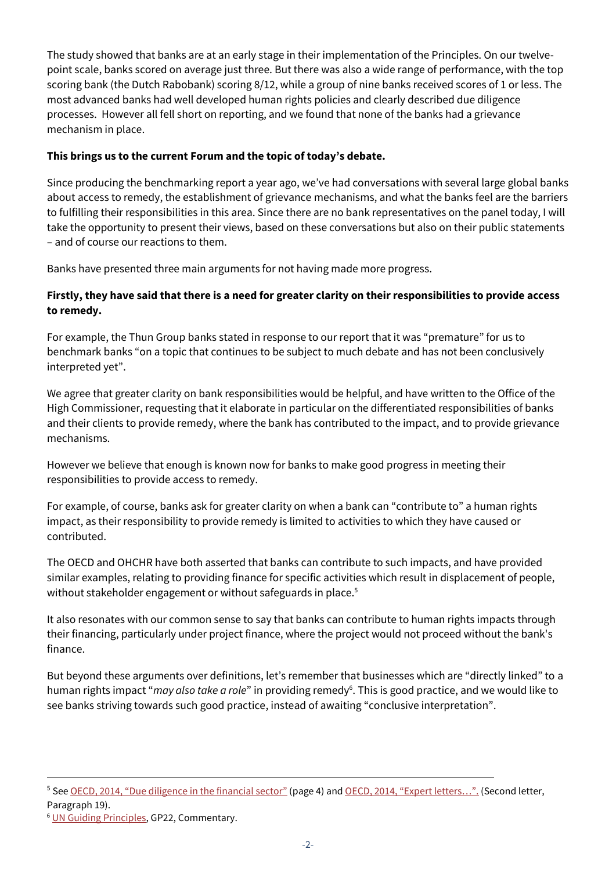The study showed that banks are at an early stage in their implementation of the Principles. On our twelvepoint scale, banks scored on average just three. But there was also a wide range of performance, with the top scoring bank (the Dutch Rabobank) scoring 8/12, while a group of nine banks received scores of 1 or less. The most advanced banks had well developed human rights policies and clearly described due diligence processes. However all fell short on reporting, and we found that none of the banks had a grievance mechanism in place.

#### **This brings us to the current Forum and the topic of today's debate.**

Since producing the benchmarking report a year ago, we've had conversations with several large global banks about access to remedy, the establishment of grievance mechanisms, and what the banks feel are the barriers to fulfilling their responsibilities in this area. Since there are no bank representatives on the panel today, I will take the opportunity to present their views, based on these conversations but also on their public statements – and of course our reactions to them.

Banks have presented three main arguments for not having made more progress.

# **Firstly, they have said that there is a need for greater clarity on their responsibilities to provide access to remedy.**

For example, the Thun Group banks stated in response to our report that it was "premature" for us to benchmark banks "on a topic that continues to be subject to much debate and has not been conclusively interpreted yet".

We agree that greater clarity on bank responsibilities would be helpful, and have written to the Office of the High Commissioner, requesting that it elaborate in particular on the differentiated responsibilities of banks and their clients to provide remedy, where the bank has contributed to the impact, and to provide grievance mechanisms.

However we believe that enough is known now for banks to make good progress in meeting their responsibilities to provide access to remedy.

For example, of course, banks ask for greater clarity on when a bank can "contribute to" a human rights impact, as their responsibility to provide remedy is limited to activities to which they have caused or contributed.

The OECD and OHCHR have both asserted that banks can contribute to such impacts, and have provided similar examples, relating to providing finance for specific activities which result in displacement of people, without stakeholder engagement or without safeguards in place.<sup>5</sup>

It also resonates with our common sense to say that banks can contribute to human rights impacts through their financing, particularly under project finance, where the project would not proceed without the bank's finance.

But beyond these arguments over definitions, let's remember that businesses which are "directly linked" to a human rights impact "*may also take a role*" in providing remedy<sup>6</sup>. This is good practice, and we would like to see banks striving towards such good practice, instead of awaiting "conclusive interpretation".

<sup>&</sup>lt;sup>5</sup> See OECD, 2014, "[Due diligence in the financial sector](https://mneguidelines.oecd.org/globalforumonresponsiblebusinessconduct/GFRBC-2014-financial-sector-document-3.pdf)" (page 4) and OECD, 2014, "[Expert letters](http://mneguidelines.oecd.org/globalforumonresponsiblebusinessconduct/GFRBC-2014-financial-sector-document-3.pdfExpert%20letters)...". (Second letter, Paragraph 19).

<sup>&</sup>lt;sup>6</sup> [UN Guiding Principles,](http://www.ohchr.org/Documents/Publications/GuidingPrinciplesBusinessHR_EN.pdf) GP22, Commentary.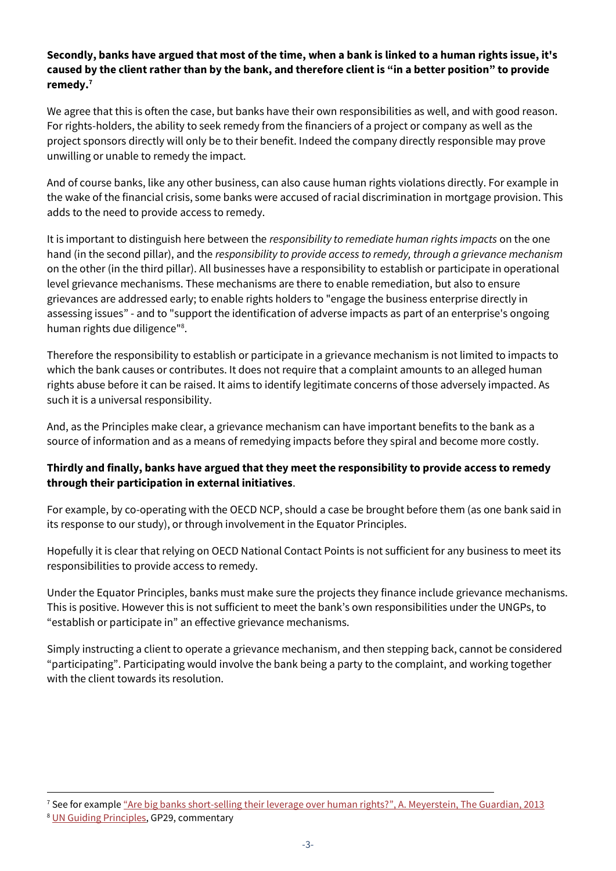#### **Secondly, banks have argued that most of the time, when a bank is linked to a human rights issue, it's caused by the client rather than by the bank, and therefore client is "in a better position" to provide remedy.<sup>7</sup>**

We agree that this is often the case, but banks have their own responsibilities as well, and with good reason. For rights-holders, the ability to seek remedy from the financiers of a project or company as well as the project sponsors directly will only be to their benefit. Indeed the company directly responsible may prove unwilling or unable to remedy the impact.

And of course banks, like any other business, can also cause human rights violations directly. For example in the wake of the financial crisis, some banks were accused of racial discrimination in mortgage provision. This adds to the need to provide access to remedy.

It is important to distinguish here between the *responsibility to remediate human rights impacts* on the one hand (in the second pillar), and the *responsibility to provide access to remedy, through a grievance mechanism* on the other (in the third pillar). All businesses have a responsibility to establish or participate in operational level grievance mechanisms. These mechanisms are there to enable remediation, but also to ensure grievances are addressed early; to enable rights holders to "engage the business enterprise directly in assessing issues" - and to "support the identification of adverse impacts as part of an enterprise's ongoing human rights due diligence"<sup>8</sup>.

Therefore the responsibility to establish or participate in a grievance mechanism is not limited to impacts to which the bank causes or contributes. It does not require that a complaint amounts to an alleged human rights abuse before it can be raised. It aims to identify legitimate concerns of those adversely impacted. As such it is a universal responsibility.

And, as the Principles make clear, a grievance mechanism can have important benefits to the bank as a source of information and as a means of remedying impacts before they spiral and become more costly.

# **Thirdly and finally, banks have argued that they meet the responsibility to provide access to remedy through their participation in external initiatives**.

For example, by co-operating with the OECD NCP, should a case be brought before them (as one bank said in its response to our study), or through involvement in the Equator Principles.

Hopefully it is clear that relying on OECD National Contact Points is not sufficient for any business to meet its responsibilities to provide access to remedy.

Under the Equator Principles, banks must make sure the projects they finance include grievance mechanisms. This is positive. However this is not sufficient to meet the bank's own responsibilities under the UNGPs, to "establish or participate in" an effective grievance mechanisms.

Simply instructing a client to operate a grievance mechanism, and then stepping back, cannot be considered "participating". Participating would involve the bank being a party to the complaint, and working together with the client towards its resolution.

<sup>&</sup>lt;sup>7</sup> See for example "[Are big banks short-selling their leverage over human rights?](http://www.theguardian.com/sustainable-business/banks-short-selling-leverage-human-rights)", A. Meyerstein, The Guardian, 2013

<sup>&</sup>lt;sup>8</sup> [UN Guiding Principles,](http://www.ohchr.org/Documents/Publications/GuidingPrinciplesBusinessHR_EN.pdf) GP29, commentary